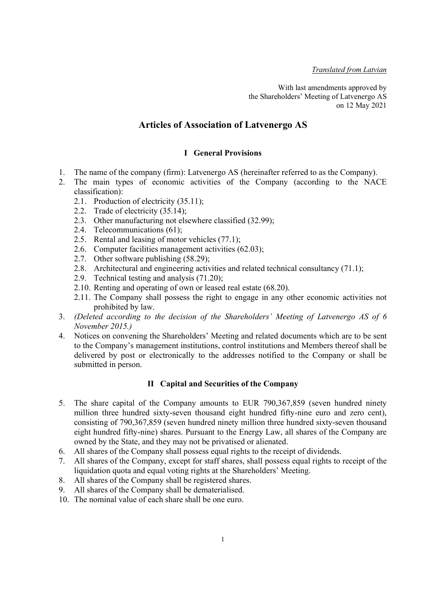Translated from Latvian

With last amendments approved by the Shareholders' Meeting of Latvenergo AS on 12 May 2021

# Articles of Association of Latvenergo AS

## I General Provisions

- 1. The name of the company (firm): Latvenergo AS (hereinafter referred to as the Company).
- 2. The main types of economic activities of the Company (according to the NACE classification):
	- 2.1. Production of electricity (35.11);
	- 2.2. Trade of electricity (35.14);
	- 2.3. Other manufacturing not elsewhere classified (32.99);
	- 2.4. Telecommunications (61);
	- 2.5. Rental and leasing of motor vehicles (77.1);
	- 2.6. Computer facilities management activities (62.03);
	- 2.7. Other software publishing (58.29);
	- 2.8. Architectural and engineering activities and related technical consultancy (71.1);
	- 2.9. Technical testing and analysis (71.20);
	- 2.10. Renting and operating of own or leased real estate (68.20).
	- 2.11. The Company shall possess the right to engage in any other economic activities not prohibited by law.
- 3. (Deleted according to the decision of the Shareholders' Meeting of Latvenergo AS of 6 November 2015.)
- 4. Notices on convening the Shareholders' Meeting and related documents which are to be sent to the Company's management institutions, control institutions and Members thereof shall be delivered by post or electronically to the addresses notified to the Company or shall be submitted in person.

## II Capital and Securities of the Company

- 5. The share capital of the Company amounts to EUR 790,367,859 (seven hundred ninety million three hundred sixty-seven thousand eight hundred fifty-nine euro and zero cent), consisting of 790,367,859 (seven hundred ninety million three hundred sixty-seven thousand eight hundred fifty-nine) shares. Pursuant to the Energy Law, all shares of the Company are owned by the State, and they may not be privatised or alienated.
- 6. All shares of the Company shall possess equal rights to the receipt of dividends.
- 7. All shares of the Company, except for staff shares, shall possess equal rights to receipt of the liquidation quota and equal voting rights at the Shareholders' Meeting.
- 8. All shares of the Company shall be registered shares.
- 9. All shares of the Company shall be dematerialised.
- 10. The nominal value of each share shall be one euro.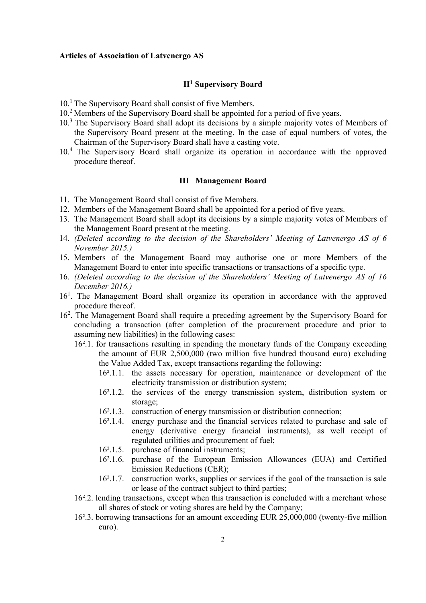#### Articles of Association of Latvenergo AS

## II<sup>1</sup> Supervisory Board

- 10.<sup>1</sup> The Supervisory Board shall consist of five Members.
- 10.<sup>2</sup>Members of the Supervisory Board shall be appointed for a period of five years.
- 10.<sup>3</sup> The Supervisory Board shall adopt its decisions by a simple majority votes of Members of the Supervisory Board present at the meeting. In the case of equal numbers of votes, the Chairman of the Supervisory Board shall have a casting vote.
- 10.<sup>4</sup> The Supervisory Board shall organize its operation in accordance with the approved procedure thereof.

#### III Management Board

- 11. The Management Board shall consist of five Members.
- 12. Members of the Management Board shall be appointed for a period of five years.
- 13. The Management Board shall adopt its decisions by a simple majority votes of Members of the Management Board present at the meeting.
- 14. (Deleted according to the decision of the Shareholders' Meeting of Latvenergo AS of 6 November 2015.)
- 15. Members of the Management Board may authorise one or more Members of the Management Board to enter into specific transactions or transactions of a specific type.
- 16. (Deleted according to the decision of the Shareholders' Meeting of Latvenergo AS of 16 December 2016.)
- 16<sup>1</sup>. The Management Board shall organize its operation in accordance with the approved procedure thereof.
- 16<sup>2</sup> . The Management Board shall require a preceding agreement by the Supervisory Board for concluding a transaction (after completion of the procurement procedure and prior to assuming new liabilities) in the following cases:
	- 16².1. for transactions resulting in spending the monetary funds of the Company exceeding the amount of EUR 2,500,000 (two million five hundred thousand euro) excluding the Value Added Tax, except transactions regarding the following:
		- 16².1.1. the assets necessary for operation, maintenance or development of the electricity transmission or distribution system;
		- 16².1.2. the services of the energy transmission system, distribution system or storage;
		- 16².1.3. construction of energy transmission or distribution connection;
		- 16².1.4. energy purchase and the financial services related to purchase and sale of energy (derivative energy financial instruments), as well receipt of regulated utilities and procurement of fuel;
		- 16².1.5. purchase of financial instruments;
		- 16².1.6. purchase of the European Emission Allowances (EUA) and Certified Emission Reductions (CER);
		- 16².1.7. construction works, supplies or services if the goal of the transaction is sale or lease of the contract subject to third parties;
	- 16².2. lending transactions, except when this transaction is concluded with a merchant whose all shares of stock or voting shares are held by the Company;
	- 16².3. borrowing transactions for an amount exceeding EUR 25,000,000 (twenty-five million euro).